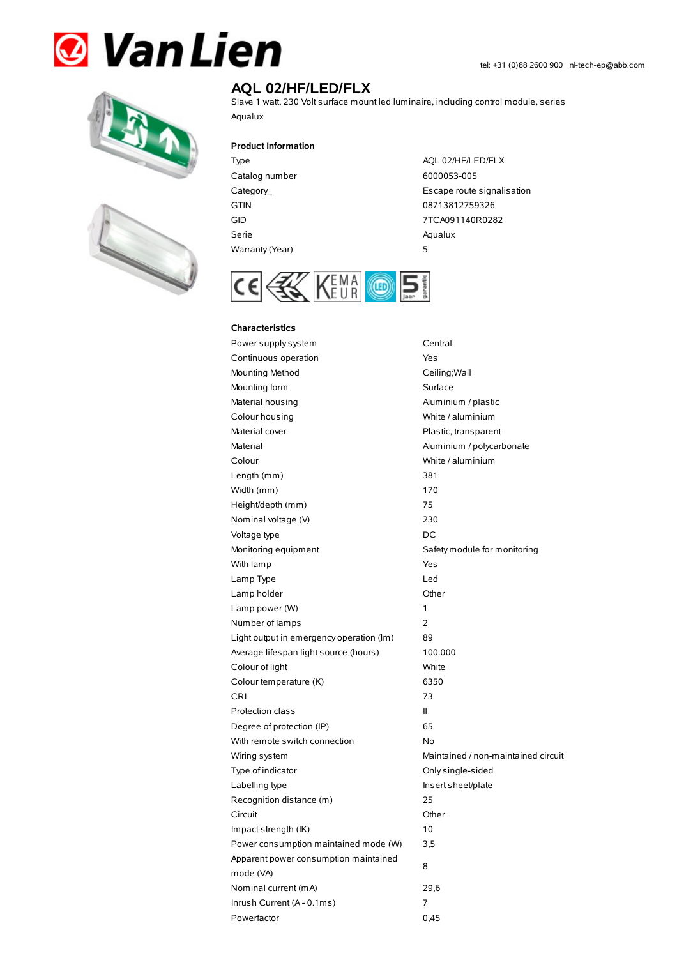# **& Van Lien**





## **AQL 02/HF/LED/FLX**

Slave 1 watt, 230 Volt surface mount led luminaire, including control module, series Aqualux

#### **Product Information**

Type AQL 02/HF/LED/FLX Catalog number 6000053-005 Serie Aqualux Warranty(Year) 5

Category\_ **Escape route signalisation** GTIN 08713812759326 GID 7TCA091140R0282



#### **Characteristics**

Power supply system Central Continuous operation The Continuous operation Mounting Method **Ceiling**; Wall Mounting form Surface Material housing **Aluminium / plastic** Colour housing White / aluminium Material cover **Plastic, transparent** Material Material Aluminium / polycarbonate Colour White / aluminium Length (mm) 381 Width (mm) 170 Height/depth (mm) 75 Nominal voltage (V) 230 Voltage type DC Monitoring equipment Safety module for monitoring With lamp Yes Lamp Type Led Lamp holder Channel Channel Channel Channel Channel Channel Channel Channel Channel Channel Channel Channel Channel Channel Channel Channel Channel Channel Channel Channel Channel Channel Channel Channel Channel Channel Ch Lamp power (W) 1 Number of lamps 2 Light output in emergency operation (lm) 89 Average lifespan light source (hours) 100.000 Colour of light White Colour temperature (K) 6350 CRI 73 Protection class II Degree of protection (IP) 65 With remote switch connection No Wiring system **Maintained / non-maintained circuit** Type of indicator Christian Conlysingle-sided Labelling type **Insert sheet/plate** Recognition distance (m) 25 Circuit Other Impact strength (IK) 10 Power consumption maintained mode (W) 3,5 Apparent power consumption maintained mode (VA) 8 Nominal current (mA) 29,6 Inrush Current (A - 0.1ms) 7 Powerfactor 0.45